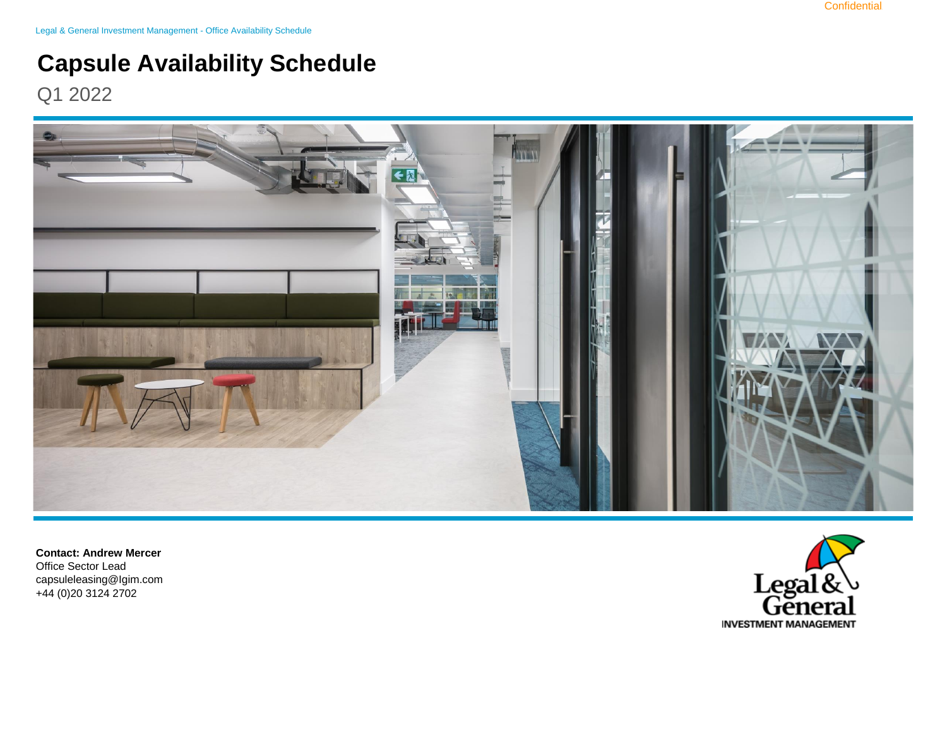Legal & General Investment Management - Office Availability Schedule

## **Capsule Availability Schedule**

Q1 2022



**Contact: Andrew Mercer**  Office Sector Lead capsuleleasing@Igim.com +44 (0)20 3124 2702

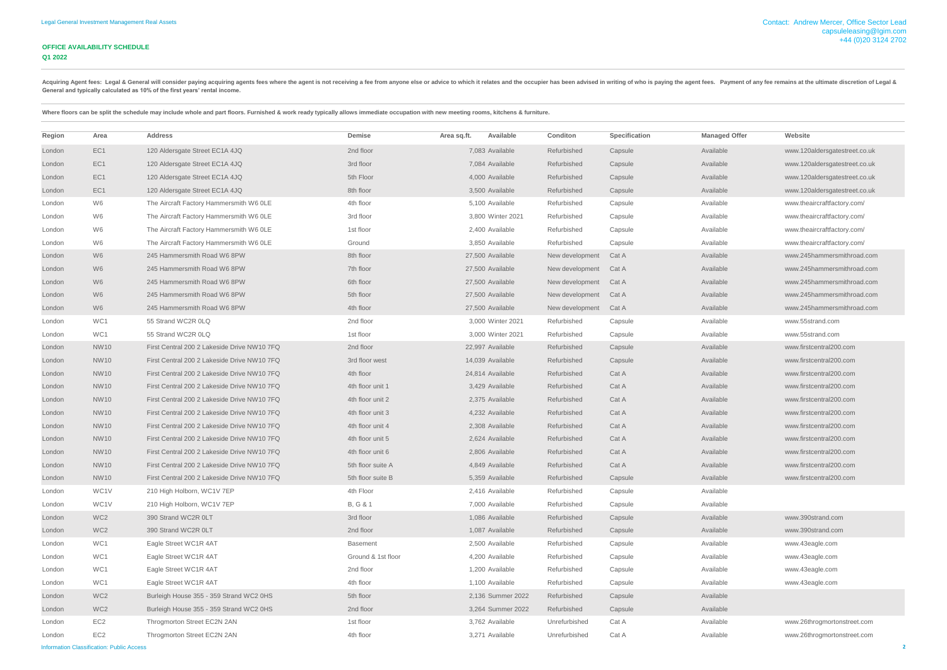## **OFFICE AVAILABILITY SCHEDULE Q1 2022**

| Region | Area            | <b>Address</b>                              | Demise             | Area sq.ft. | Available         | <b>Conditon</b> | <b>Specification</b> | <b>Managed Offer</b> | Website                       |
|--------|-----------------|---------------------------------------------|--------------------|-------------|-------------------|-----------------|----------------------|----------------------|-------------------------------|
| London | EC1             | 120 Aldersgate Street EC1A 4JQ              | 2nd floor          |             | 7,083 Available   | Refurbished     | Capsule              | Available            | www.120aldersgatestreet.co.uk |
| London | EC <sub>1</sub> | 120 Aldersgate Street EC1A 4JQ              | 3rd floor          |             | 7,084 Available   | Refurbished     | Capsule              | Available            | www.120aldersgatestreet.co.uk |
| London | EC <sub>1</sub> | 120 Aldersgate Street EC1A 4JQ              | 5th Floor          |             | 4,000 Available   | Refurbished     | Capsule              | Available            | www.120aldersgatestreet.co.uk |
| London | EC1             | 120 Aldersgate Street EC1A 4JQ              | 8th floor          |             | 3,500 Available   | Refurbished     | Capsule              | Available            | www.120aldersgatestreet.co.uk |
| London | W6              | The Aircraft Factory Hammersmith W6 OLE     | 4th floor          |             | 5,100 Available   | Refurbished     | Capsule              | Available            | www.theaircraftfactory.com/   |
| London | W6              | The Aircraft Factory Hammersmith W6 OLE     | 3rd floor          |             | 3,800 Winter 2021 | Refurbished     | Capsule              | Available            | www.theaircraftfactory.com/   |
| London | W6              | The Aircraft Factory Hammersmith W6 OLE     | 1st floor          |             | 2,400 Available   | Refurbished     | Capsule              | Available            | www.theaircraftfactory.com/   |
| London | W6              | The Aircraft Factory Hammersmith W6 OLE     | Ground             |             | 3,850 Available   | Refurbished     | Capsule              | Available            | www.theaircraftfactory.com/   |
| London | W6              | 245 Hammersmith Road W6 8PW                 | 8th floor          |             | 27,500 Available  | New development | Cat A                | Available            | www.245hammersmithroad.com    |
| London | W <sub>6</sub>  | 245 Hammersmith Road W6 8PW                 | 7th floor          |             | 27,500 Available  | New development | Cat A                | Available            | www.245hammersmithroad.com    |
| London | W <sub>6</sub>  | 245 Hammersmith Road W6 8PW                 | 6th floor          |             | 27,500 Available  | New development | Cat A                | Available            | www.245hammersmithroad.com    |
| London | W6              | 245 Hammersmith Road W6 8PW                 | 5th floor          |             | 27,500 Available  | New development | Cat A                | Available            | www.245hammersmithroad.com    |
| London | W <sub>6</sub>  | 245 Hammersmith Road W6 8PW                 | 4th floor          |             | 27,500 Available  | New development | Cat A                | Available            | www.245hammersmithroad.com    |
| London | WC1             | 55 Strand WC2R 0LQ                          | 2nd floor          |             | 3,000 Winter 2021 | Refurbished     | Capsule              | Available            | www.55strand.com              |
| London | WC1             | 55 Strand WC2R 0LQ                          | 1st floor          |             | 3,000 Winter 2021 | Refurbished     | Capsule              | Available            | www.55strand.com              |
| London | <b>NW10</b>     | First Central 200 2 Lakeside Drive NW10 7FQ | 2nd floor          |             | 22,997 Available  | Refurbished     | Capsule              | Available            | www.firstcentral200.com       |
| London | <b>NW10</b>     | First Central 200 2 Lakeside Drive NW10 7FQ | 3rd floor west     |             | 14,039 Available  | Refurbished     | Capsule              | Available            | www.firstcentral200.com       |
| London | <b>NW10</b>     | First Central 200 2 Lakeside Drive NW10 7FQ | 4th floor          |             | 24,814 Available  | Refurbished     | Cat A                | Available            | www.firstcentral200.com       |
| London | <b>NW10</b>     | First Central 200 2 Lakeside Drive NW10 7FQ | 4th floor unit 1   |             | 3,429 Available   | Refurbished     | Cat A                | Available            | www.firstcentral200.com       |
| London | <b>NW10</b>     | First Central 200 2 Lakeside Drive NW10 7FQ | 4th floor unit 2   |             | 2,375 Available   | Refurbished     | Cat A                | Available            | www.firstcentral200.com       |
| London | <b>NW10</b>     | First Central 200 2 Lakeside Drive NW10 7FQ | 4th floor unit 3   |             | 4,232 Available   | Refurbished     | Cat A                | Available            | www.firstcentral200.com       |
| London | <b>NW10</b>     | First Central 200 2 Lakeside Drive NW10 7FQ | 4th floor unit 4   |             | 2,308 Available   | Refurbished     | Cat A                | Available            | www.firstcentral200.com       |
| London | NW10            | First Central 200 2 Lakeside Drive NW10 7FQ | 4th floor unit 5   |             | 2,624 Available   | Refurbished     | Cat A                | Available            | www.firstcentral200.com       |
| London | <b>NW10</b>     | First Central 200 2 Lakeside Drive NW10 7FQ | 4th floor unit 6   |             | 2,806 Available   | Refurbished     | Cat A                | Available            | www.firstcentral200.com       |
| London | <b>NW10</b>     | First Central 200 2 Lakeside Drive NW10 7FQ | 5th floor suite A  |             | 4,849 Available   | Refurbished     | Cat A                | Available            | www.firstcentral200.com       |
| London | <b>NW10</b>     | First Central 200 2 Lakeside Drive NW10 7FQ | 5th floor suite B  |             | 5,359 Available   | Refurbished     | Capsule              | Available            | www.firstcentral200.com       |
| London | WC1V            | 210 High Holborn, WC1V 7EP                  | 4th Floor          |             | 2,416 Available   | Refurbished     | Capsule              | Available            |                               |
| London | WC1V            | 210 High Holborn, WC1V 7EP                  | B, G & 1           |             | 7,000 Available   | Refurbished     | Capsule              | Available            |                               |
| London | WC <sub>2</sub> | 390 Strand WC2R 0LT                         | 3rd floor          |             | 1,086 Available   | Refurbished     | Capsule              | Available            | www.390strand.com             |
| London | WC <sub>2</sub> | 390 Strand WC2R 0LT                         | 2nd floor          |             | 1,087 Available   | Refurbished     | Capsule              | Available            | www.390strand.com             |
| London | WC1             | Eagle Street WC1R 4AT                       | <b>Basement</b>    |             | 2,500 Available   | Refurbished     | Capsule              | Available            | www.43eagle.com               |
| London | WC1             | Eagle Street WC1R 4AT                       | Ground & 1st floor |             | 4,200 Available   | Refurbished     | Capsule              | Available            | www.43eagle.com               |
| London | WC1             | Eagle Street WC1R 4AT                       | 2nd floor          |             | 1,200 Available   | Refurbished     | Capsule              | Available            | www.43eagle.com               |
| London | WC1             | Eagle Street WC1R 4AT                       | 4th floor          |             | 1,100 Available   | Refurbished     | Capsule              | Available            | www.43eagle.com               |
| London | WC <sub>2</sub> | Burleigh House 355 - 359 Strand WC2 0HS     | 5th floor          |             | 2,136 Summer 2022 | Refurbished     | Capsule              | Available            |                               |
| London | WC <sub>2</sub> | Burleigh House 355 - 359 Strand WC2 0HS     | 2nd floor          |             | 3,264 Summer 2022 | Refurbished     | Capsule              | Available            |                               |
| London | EC <sub>2</sub> | Throgmorton Street EC2N 2AN                 | 1st floor          |             | 3,762 Available   | Unrefurbished   | Cat A                | Available            | www.26throgmortonstreet.com   |
| London | EC <sub>2</sub> | Throgmorton Street EC2N 2AN                 | 4th floor          |             | 3,271 Available   | Unrefurbished   | Cat A                | Available            | www.26throgmortonstreet.com   |

Acquiring Agent fees: Legal & General will consider paying acquiring agents fees where the agent is not receiving a fee from anyone else or advice to which it relates and the occupier has been advised in writing of who is **General and typically calculated as 10% of the first years' rental income.** 

Where floors can be split the schedule may include whole and part floors. Furnished & work ready typically allows immediate occupation with new meeting rooms, kitchens & furniture.

Information Classification: Public Access **2**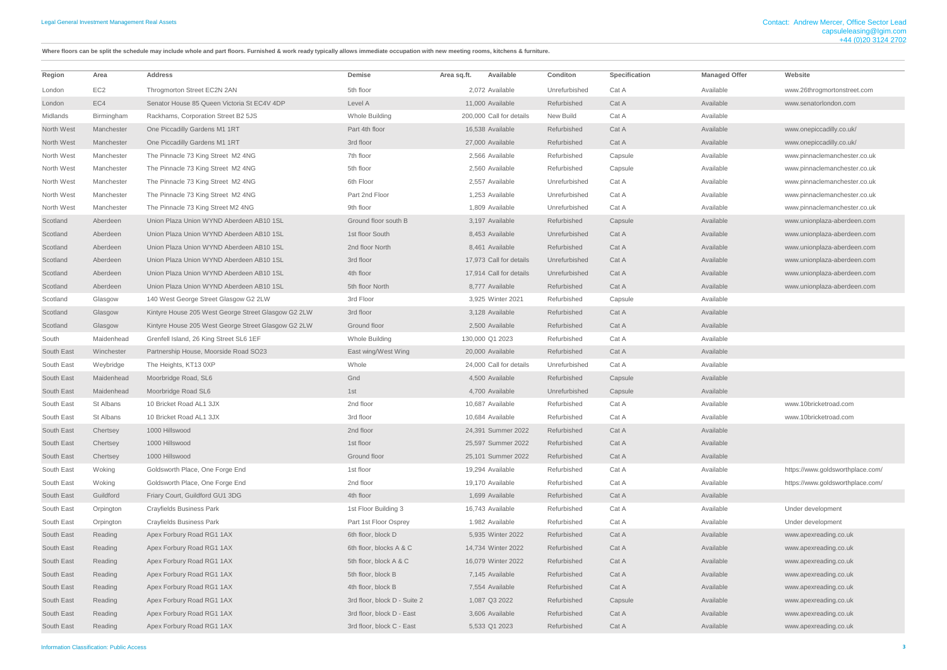Where floors can be split the schedule may include whole and part floors. Furnished & work ready typically allows immediate occupation with new meeting rooms, kitchens & furniture.

| Region     | Area            | <b>Address</b>                                      | Demise                       | Area sq.ft. | Available                | Conditon      | Specification | <b>Managed Offer</b> | Website                          |
|------------|-----------------|-----------------------------------------------------|------------------------------|-------------|--------------------------|---------------|---------------|----------------------|----------------------------------|
| London     | EC <sub>2</sub> | Throgmorton Street EC2N 2AN                         | 5th floor                    |             | 2,072 Available          | Unrefurbished | Cat A         | Available            | www.26throgmortonstreet.com      |
| London     | EC4             | Senator House 85 Queen Victoria St EC4V 4DP         | Level A                      |             | 11,000 Available         | Refurbished   | Cat A         | Available            | www.senatorlondon.com            |
| Midlands   | Birmingham      | Rackhams, Corporation Street B2 5JS                 | Whole Building               |             | 200,000 Call for details | New Build     | Cat A         | Available            |                                  |
| North West | Manchester      | One Piccadilly Gardens M1 1RT                       | Part 4th floor               |             | 16,538 Available         | Refurbished   | Cat A         | Available            | www.onepiccadilly.co.uk/         |
| North West | Manchester      | One Piccadilly Gardens M1 1RT                       | 3rd floor                    |             | 27,000 Available         | Refurbished   | Cat A         | Available            | www.onepiccadilly.co.uk/         |
| North West | Manchester      | The Pinnacle 73 King Street M2 4NG                  | 7th floor                    |             | 2,566 Available          | Refurbished   | Capsule       | Available            | www.pinnaclemanchester.co.uk     |
| North West | Manchester      | The Pinnacle 73 King Street M2 4NG                  | 5th floor                    |             | 2,560 Available          | Refurbished   | Capsule       | Available            | www.pinnaclemanchester.co.uk     |
| North West | Manchester      | The Pinnacle 73 King Street M2 4NG                  | 6th Floor                    |             | 2,557 Available          | Unrefurbished | Cat A         | Available            | www.pinnaclemanchester.co.uk     |
| North West | Manchester      | The Pinnacle 73 King Street M2 4NG                  | Part 2nd Floor               |             | 1,253 Available          | Unrefurbished | Cat A         | Available            | www.pinnaclemanchester.co.uk     |
| North West | Manchester      | The Pinnacle 73 King Street M2 4NG                  | 9th floor                    |             | 1,809 Available          | Unrefurbished | Cat A         | Available            | www.pinnaclemanchester.co.uk     |
| Scotland   | Aberdeen        | Union Plaza Union WYND Aberdeen AB10 1SL            | Ground floor south B         |             | 3,197 Available          | Refurbished   | Capsule       | Available            | www.unionplaza-aberdeen.com      |
| Scotland   | Aberdeen        | Union Plaza Union WYND Aberdeen AB10 1SL            | 1st floor South              |             | 8,453 Available          | Unrefurbished | Cat A         | Available            | www.unionplaza-aberdeen.com      |
| Scotland   | Aberdeen        | Union Plaza Union WYND Aberdeen AB10 1SL            | 2nd floor North              |             | 8.461 Available          | Refurbished   | Cat A         | Available            | www.unionplaza-aberdeen.com      |
| Scotland   | Aberdeen        | Union Plaza Union WYND Aberdeen AB10 1SL            | 3rd floor                    |             | 17,973 Call for details  | Unrefurbished | Cat A         | Available            | www.unionplaza-aberdeen.com      |
| Scotland   | Aberdeen        | Union Plaza Union WYND Aberdeen AB10 1SL            | 4th floor                    |             | 17,914 Call for details  | Unrefurbished | Cat A         | Available            | www.unionplaza-aberdeen.com      |
| Scotland   | Aberdeen        | Union Plaza Union WYND Aberdeen AB10 1SL            | 5th floor North              |             | 8,777 Available          | Refurbished   | Cat A         | Available            | www.unionplaza-aberdeen.com      |
| Scotland   | Glasgow         | 140 West George Street Glasgow G2 2LW               | 3rd Floor                    |             | 3,925 Winter 2021        | Refurbished   | Capsule       | Available            |                                  |
| Scotland   | Glasgow         | Kintyre House 205 West George Street Glasgow G2 2LW | 3rd floor                    |             | 3,128 Available          | Refurbished   | Cat A         | Available            |                                  |
| Scotland   | Glasgow         | Kintyre House 205 West George Street Glasgow G2 2LW | Ground floor                 |             | 2,500 Available          | Refurbished   | Cat A         | Available            |                                  |
| South      | Maidenhead      | Grenfell Island, 26 King Street SL6 1EF             | Whole Building               |             | 130,000 Q1 2023          | Refurbished   | Cat A         | Available            |                                  |
| South East | Winchester      | Partnership House, Moorside Road SO23               | East wing/West Wing          |             | 20,000 Available         | Refurbished   | Cat A         | Available            |                                  |
| South East | Weybridge       | The Heights, KT13 0XP                               | Whole                        |             | 24,000 Call for details  | Unrefurbished | Cat A         | Available            |                                  |
| South East | Maidenhead      | Moorbridge Road, SL6                                | Gnd                          |             | 4,500 Available          | Refurbished   | Capsule       | Available            |                                  |
| South East | Maidenhead      | Moorbridge Road SL6                                 | 1st                          |             | 4,700 Available          | Unrefurbished | Capsule       | Available            |                                  |
| South East | St Albans       | 10 Bricket Road AL1 3JX                             | 2nd floor                    |             | 10.687 Available         | Refurbished   | Cat A         | Available            | www.10bricketroad.com            |
| South East | St Albans       | 10 Bricket Road AL1 3JX                             | 3rd floor                    |             | 10,684 Available         | Refurbished   | Cat A         | Available            | www.10bricketroad.com            |
| South East | Chertsey        | 1000 Hillswood                                      | 2nd floor                    |             | 24,391 Summer 2022       | Refurbished   | Cat A         | Available            |                                  |
| South East | Chertsey        | 1000 Hillswood                                      | 1st floor                    |             | 25,597 Summer 2022       | Refurbished   | Cat A         | Available            |                                  |
| South East | Chertsey        | 1000 Hillswood                                      | Ground floor                 |             | 25,101 Summer 2022       | Refurbished   | Cat A         | Available            |                                  |
| South East | Woking          | Goldsworth Place, One Forge End                     | 1st floor                    |             | 19,294 Available         | Refurbished   | Cat A         | Available            | https://www.goldsworthplace.com/ |
| South East | Woking          | Goldsworth Place, One Forge End                     | 2nd floor                    |             | 19,170 Available         | Refurbished   | Cat A         | Available            | https://www.goldsworthplace.com/ |
| South East | Guildford       | Friary Court, Guildford GU1 3DG                     | 4th floor                    |             | 1,699 Available          | Refurbished   | Cat A         | Available            |                                  |
| South East | Orpington       | <b>Crayfields Business Park</b>                     | 1st Floor Building 3         |             | 16,743 Available         | Refurbished   | Cat A         | Available            | Under development                |
| South East | Orpington       | <b>Crayfields Business Park</b>                     | Part 1st Floor Osprey        |             | 1.982 Available          | Refurbished   | Cat A         | Available            | Under development                |
| South East | Reading         | Apex Forbury Road RG1 1AX                           | 6th floor, block D           |             | 5,935 Winter 2022        | Refurbished   | Cat A         | Available            | www.apexreading.co.uk            |
| South East | Reading         | Apex Forbury Road RG1 1AX                           | 6th floor, blocks A & C      |             | 14,734 Winter 2022       | Refurbished   | Cat A         | Available            | www.apexreading.co.uk            |
| South East | Reading         | Apex Forbury Road RG1 1AX                           | 5th floor, block A & C       |             | 16,079 Winter 2022       | Refurbished   | Cat A         | Available            | www.apexreading.co.uk            |
| South East | Reading         | Apex Forbury Road RG1 1AX                           | 5th floor, block B           |             | 7,145 Available          | Refurbished   | Cat A         | Available            | www.apexreading.co.uk            |
|            | Reading         | Apex Forbury Road RG1 1AX                           | 4th floor, block B           |             | 7,554 Available          | Refurbished   | Cat A         | Available            |                                  |
| South East |                 |                                                     |                              |             |                          |               |               | Available            | www.apexreading.co.uk            |
| South East | Reading         | Apex Forbury Road RG1 1AX                           | 3rd floor, block D - Suite 2 |             | 1,087 Q3 2022            | Refurbished   | Capsule       |                      | www.apexreading.co.uk            |
| South East | Reading         | Apex Forbury Road RG1 1AX                           | 3rd floor, block D - East    |             | 3,606 Available          | Refurbished   | Cat A         | Available            | www.apexreading.co.uk            |
| South East | Reading         | Apex Forbury Road RG1 1AX                           | 3rd floor, block C - East    |             | 5,533 Q1 2023            | Refurbished   | Cat A         | Available            | www.apexreading.co.uk            |